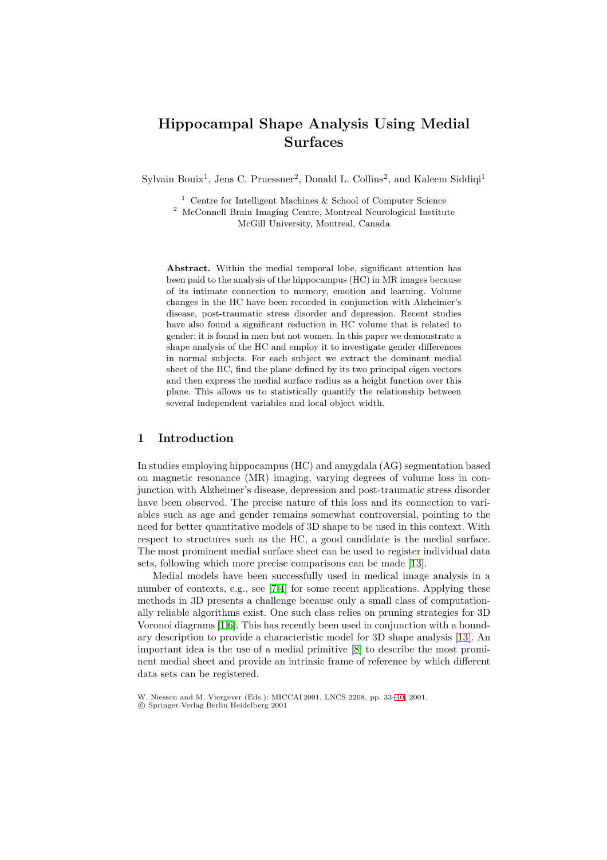# **Hippocampal Shape Analysis Using Medial Surfaces**

Sylvain Bouix<sup>1</sup>, Jens C. Pruessner<sup>2</sup>, Donald L. Collins<sup>2</sup>, and Kaleem Siddiqi<sup>1</sup>

 $^1$  Centre for Intelligent Machines  $\&$  School of Computer Science

 $^{\rm 2}$  McConnell Brain Imaging Centre, Montreal Neurological Institute McGill University, Montreal, Canada

**Abstract.** Within the medial temporal lobe, significant attention has been paid to the analysis of the hippocampus (HC) in MR images because of its intimate connection to memory, emotion and learning. Volume changes in the HC have been recorded in conjunction with Alzheimer's disease, post-traumatic stress disorder and depression. Recent studies have also found a significant reduction in HC volume that is related to gender; it is found in men but not women. In this paper we demonstrate a shape analysis of the HC and employ it to investigate gender differences in normal subjects. For each subject we extract the dominant medial sheet of the HC, find the plane defined by its two principal eigen vectors and then express the medial surface radius as a height function over this plane. This allows us to statistically quantify the relationship between several independent variables and local object width.

## **1 Introduction**

In studies employing hippocampus (HC) and amygdala (AG) segmentation based on magnetic resonance (MR) imaging, varying degrees of volume loss in conjunction with Alzheimer's disease, depression and post-traumatic stress disorder have been observed. The precise nature of this loss and its connection to variables such as age and gender remains somewhat controversial, pointing to the need for better quantitative models of 3D shape to be used in this context. With respect to structures such as the HC, a good candidate is the medial surface. The most prominent medial surface sheet can be used to register individual data sets, following which more precise comparisons can be made [\[13\]](#page-7-0).

Medial models have been successfully used in medical image analysis in a number of contexts, e.g., see [\[7,](#page-7-1)[4\]](#page-7-2) for some recent applications. Applying these methods in 3D presents a challenge because only a small class of computationally reliable algorithms exist. One such class relies on pruning strategies for 3D Voronoi diagrams [\[1,](#page-7-3)[6\]](#page-7-4). This has recently been used in conjunction with a boundary description to provide a characteristic model for 3D shape analysis [\[13\]](#page-7-0). An important idea is the use of a medial primitive [\[8\]](#page-7-5) to describe the most prominent medial sheet and provide an intrinsic frame of reference by which different data sets can be registered.

W. Niessen and M. Viergever (Eds.): MICCAI 2001, LNCS 2208, pp. 33[–40,](#page-7-6) 2001.

c Springer-Verlag Berlin Heidelberg 2001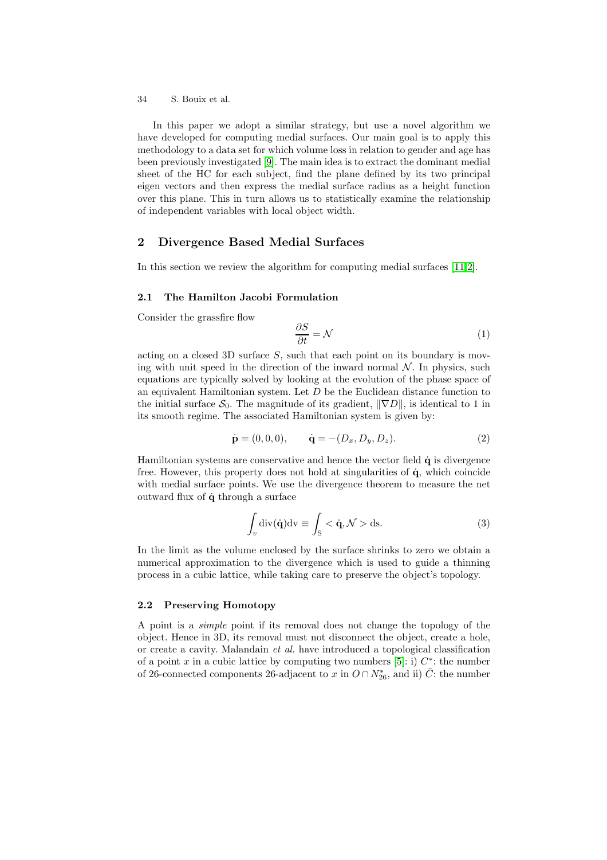In this paper we adopt a similar strategy, but use a novel algorithm we have developed for computing medial surfaces. Our main goal is to apply this methodology to a data set for which volume loss in relation to gender and age has been previously investigated [\[9\]](#page-7-7). The main idea is to extract the dominant medial sheet of the HC for each subject, find the plane defined by its two principal eigen vectors and then express the medial surface radius as a height function over this plane. This in turn allows us to statistically examine the relationship of independent variables with local object width.

# **2 Divergence Based Medial Surfaces**

In this section we review the algorithm for computing medial surfaces [\[11](#page-7-8)[,2\]](#page-7-9).

### **2.1 The Hamilton Jacobi Formulation**

Consider the grassfire flow

$$
\frac{\partial S}{\partial t} = \mathcal{N} \tag{1}
$$

acting on a closed 3D surface  $S$ , such that each point on its boundary is moving with unit speed in the direction of the inward normal  $N$ . In physics, such equations are typically solved by looking at the evolution of the phase space of an equivalent Hamiltonian system. Let  $D$  be the Euclidean distance function to the initial surface  $S_0$ . The magnitude of its gradient,  $\|\nabla D\|$ , is identical to 1 in its smooth regime. The associated Hamiltonian system is given by:

$$
\dot{\mathbf{p}} = (0, 0, 0), \quad \dot{\mathbf{q}} = -(D_x, D_y, D_z).
$$
\n(2)

Hamiltonian systems are conservative and hence the vector field  $\dot{q}$  is divergence free. However, this property does not hold at singularities of  $\dot{q}$ , which coincide with medial surface points. We use the divergence theorem to measure the net outward flux of **q**˙ through a surface

$$
\int_{v} \operatorname{div}(\dot{\mathbf{q}}) \mathrm{dv} \equiv \int_{S} <\dot{\mathbf{q}}, \mathcal{N} > \mathrm{ds}.
$$
 (3)

In the limit as the volume enclosed by the surface shrinks to zero we obtain a numerical approximation to the divergence which is used to guide a thinning process in a cubic lattice, while taking care to preserve the object's topology.

### **2.2 Preserving Homotopy**

A point is a *simple* point if its removal does not change the topology of the object. Hence in 3D, its removal must not disconnect the object, create a hole, or create a cavity. Malandain *et al.* have introduced a topological classification of a point x in a cubic lattice by computing two numbers [\[5\]](#page-7-10): i)  $C^*$ : the number of 26-connected components 26-adjacent to x in  $O \cap N^*_{26}$ , and ii)  $\overline{C}$ : the number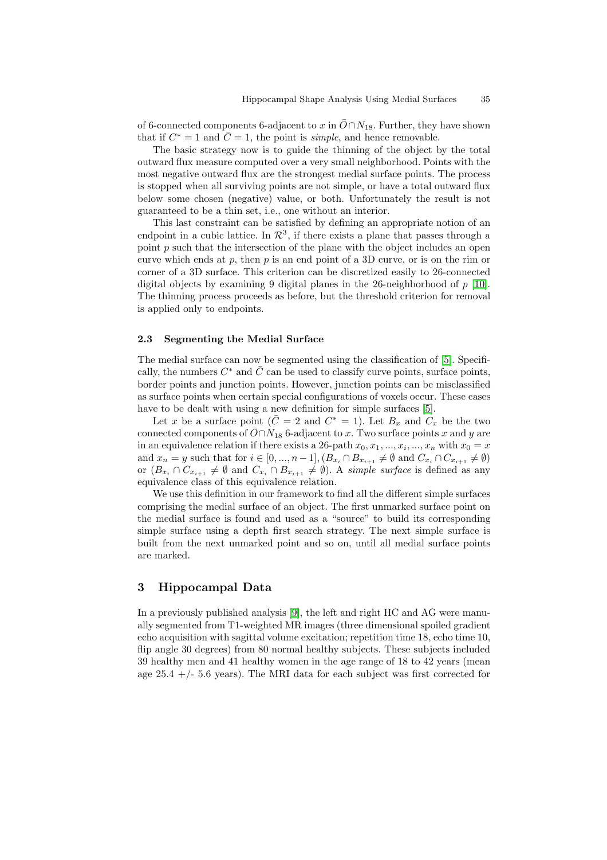of 6-connected components 6-adjacent to x in  $O \cap N_{18}$ . Further, they have shown that if  $C^* = 1$  and  $\overline{C} = 1$ , the point is *simple*, and hence removable.

The basic strategy now is to guide the thinning of the object by the total outward flux measure computed over a very small neighborhood. Points with the most negative outward flux are the strongest medial surface points. The process is stopped when all surviving points are not simple, or have a total outward flux below some chosen (negative) value, or both. Unfortunately the result is not guaranteed to be a thin set, i.e., one without an interior.

This last constraint can be satisfied by defining an appropriate notion of an endpoint in a cubic lattice. In  $\mathcal{R}^3$ , if there exists a plane that passes through a point  $p$  such that the intersection of the plane with the object includes an open curve which ends at  $p$ , then  $p$  is an end point of a 3D curve, or is on the rim or corner of a 3D surface. This criterion can be discretized easily to 26-connected digital objects by examining 9 digital planes in the 26-neighborhood of  $p$  [\[10\]](#page-7-11). The thinning process proceeds as before, but the threshold criterion for removal is applied only to endpoints.

#### **2.3 Segmenting the Medial Surface**

The medial surface can now be segmented using the classification of [\[5\]](#page-7-10). Specifically, the numbers  $C^*$  and  $\overline{C}$  can be used to classify curve points, surface points, border points and junction points. However, junction points can be misclassified as surface points when certain special configurations of voxels occur. These cases have to be dealt with using a new definition for simple surfaces [\[5\]](#page-7-10).

Let x be a surface point ( $\overline{C} = 2$  and  $C^* = 1$ ). Let  $B_x$  and  $C_x$  be the two connected components of  $\widehat{O} \cap N_{18}$  6-adjacent to x. Two surface points x and y are in an equivalence relation if there exists a 26-path  $x_0, x_1, ..., x_i, ..., x_n$  with  $x_0 = x$ and  $x_n = y$  such that for  $i \in [0, ..., n-1]$ ,  $(B_{x_i} \cap B_{x_{i+1}} \neq \emptyset \text{ and } C_{x_i} \cap C_{x_{i+1}} \neq \emptyset)$ or  $(B_{x_i} \cap C_{x_{i+1}} \neq \emptyset$  and  $C_{x_i} \cap B_{x_{i+1}} \neq \emptyset$ . A *simple surface* is defined as any equivalence class of this equivalence relation.

We use this definition in our framework to find all the different simple surfaces comprising the medial surface of an object. The first unmarked surface point on the medial surface is found and used as a "source" to build its corresponding simple surface using a depth first search strategy. The next simple surface is built from the next unmarked point and so on, until all medial surface points are marked.

### **3 Hippocampal Data**

In a previously published analysis [\[9\]](#page-7-7), the left and right HC and AG were manually segmented from T1-weighted MR images (three dimensional spoiled gradient echo acquisition with sagittal volume excitation; repetition time 18, echo time 10, flip angle 30 degrees) from 80 normal healthy subjects. These subjects included 39 healthy men and 41 healthy women in the age range of 18 to 42 years (mean age 25.4 +/- 5.6 years). The MRI data for each subject was first corrected for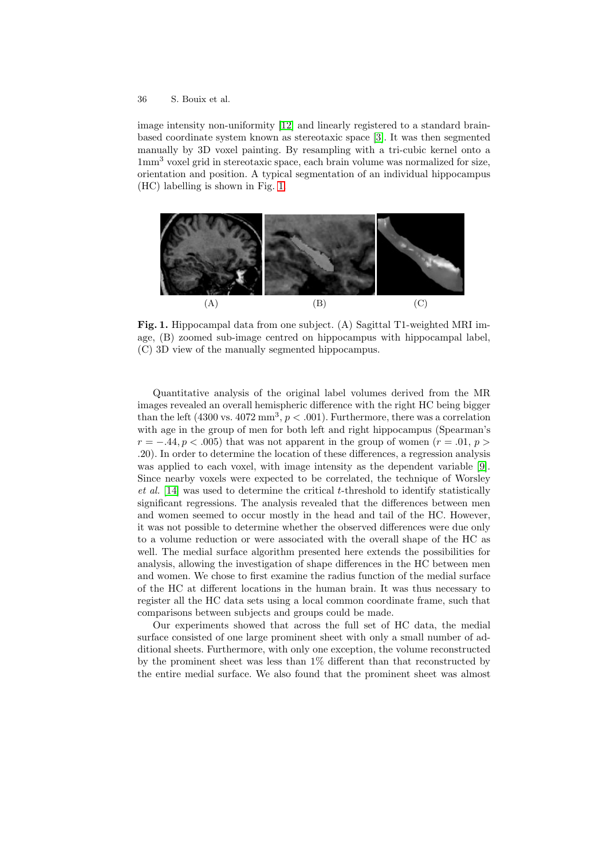image intensity non-uniformity [\[12\]](#page-7-12) and linearly registered to a standard brainbased coordinate system known as stereotaxic space [\[3\]](#page-7-13). It was then segmented manually by 3D voxel painting. By resampling with a tri-cubic kernel onto a 1mm<sup>3</sup> voxel grid in stereotaxic space, each brain volume was normalized for size, orientation and position. A typical segmentation of an individual hippocampus (HC) labelling is shown in Fig. [1.](#page-3-0)

<span id="page-3-0"></span>

**Fig. 1.** Hippocampal data from one subject. (A) Sagittal T1-weighted MRI image, (B) zoomed sub-image centred on hippocampus with hippocampal label, (C) 3D view of the manually segmented hippocampus.

Quantitative analysis of the original label volumes derived from the MR images revealed an overall hemispheric difference with the right HC being bigger than the left (4300 vs. 4072 mm<sup>3</sup>,  $p < .001$ ). Furthermore, there was a correlation with age in the group of men for both left and right hippocampus (Spearman's  $r = -.44, p < .005$ ) that was not apparent in the group of women  $(r = .01, p >$ .20). In order to determine the location of these differences, a regression analysis was applied to each voxel, with image intensity as the dependent variable [\[9\]](#page-7-7). Since nearby voxels were expected to be correlated, the technique of Worsley *et al.* [\[14\]](#page-7-14) was used to determine the critical t-threshold to identify statistically significant regressions. The analysis revealed that the differences between men and women seemed to occur mostly in the head and tail of the HC. However, it was not possible to determine whether the observed differences were due only to a volume reduction or were associated with the overall shape of the HC as well. The medial surface algorithm presented here extends the possibilities for analysis, allowing the investigation of shape differences in the HC between men and women. We chose to first examine the radius function of the medial surface of the HC at different locations in the human brain. It was thus necessary to register all the HC data sets using a local common coordinate frame, such that comparisons between subjects and groups could be made.

Our experiments showed that across the full set of HC data, the medial surface consisted of one large prominent sheet with only a small number of additional sheets. Furthermore, with only one exception, the volume reconstructed by the prominent sheet was less than 1% different than that reconstructed by the entire medial surface. We also found that the prominent sheet was almost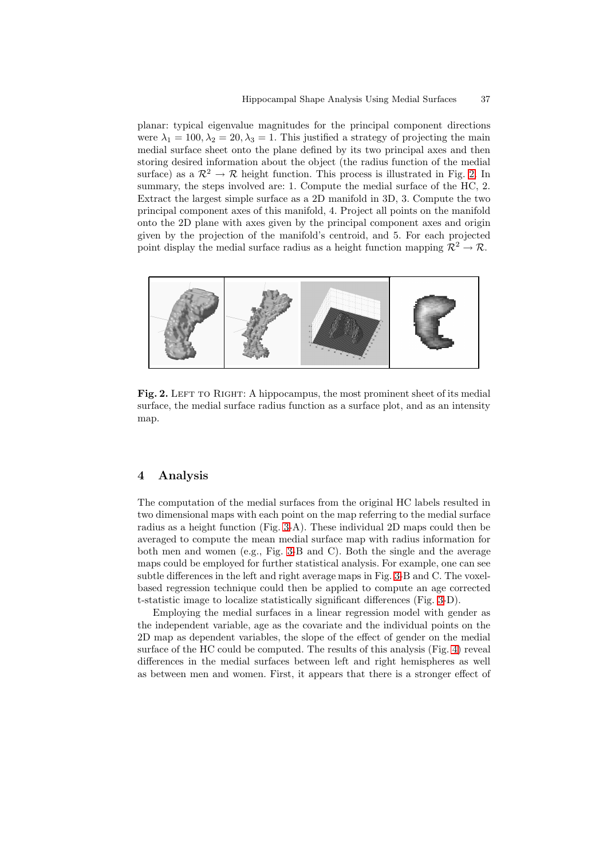planar: typical eigenvalue magnitudes for the principal component directions were  $\lambda_1 = 100, \lambda_2 = 20, \lambda_3 = 1$ . This justified a strategy of projecting the main medial surface sheet onto the plane defined by its two principal axes and then storing desired information about the object (the radius function of the medial surface) as a  $\mathcal{R}^2 \to \mathcal{R}$  height function. This process is illustrated in Fig. [2.](#page-4-0) In summary, the steps involved are: 1. Compute the medial surface of the HC, 2. Extract the largest simple surface as a 2D manifold in 3D, 3. Compute the two principal component axes of this manifold, 4. Project all points on the manifold onto the 2D plane with axes given by the principal component axes and origin given by the projection of the manifold's centroid, and 5. For each projected point display the medial surface radius as a height function mapping  $\mathcal{R}^2 \to \mathcal{R}$ .



<span id="page-4-0"></span>**Fig. 2.** LEFT TO RIGHT: A hippocampus, the most prominent sheet of its medial surface, the medial surface radius function as a surface plot, and as an intensity map.

### **4 Analysis**

The computation of the medial surfaces from the original HC labels resulted in two dimensional maps with each point on the map referring to the medial surface radius as a height function (Fig. [3-](#page-5-0)A). These individual 2D maps could then be averaged to compute the mean medial surface map with radius information for both men and women (e.g., Fig. [3-](#page-5-0)B and C). Both the single and the average maps could be employed for further statistical analysis. For example, one can see subtle differences in the left and right average maps in Fig. [3-](#page-5-0)B and C. The voxelbased regression technique could then be applied to compute an age corrected t-statistic image to localize statistically significant differences (Fig. [3-](#page-5-0)D).

Employing the medial surfaces in a linear regression model with gender as the independent variable, age as the covariate and the individual points on the 2D map as dependent variables, the slope of the effect of gender on the medial surface of the HC could be computed. The results of this analysis (Fig. [4\)](#page-6-0) reveal differences in the medial surfaces between left and right hemispheres as well as between men and women. First, it appears that there is a stronger effect of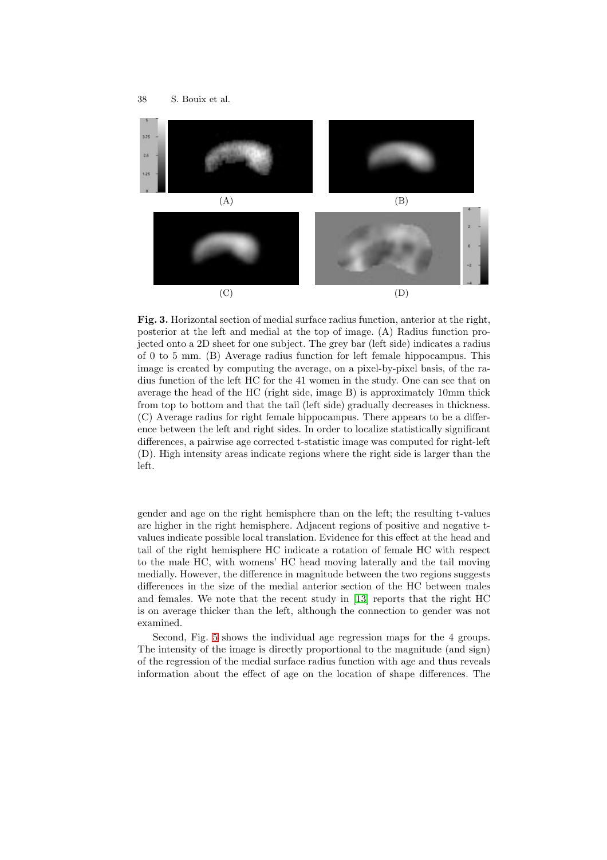

<span id="page-5-0"></span>**Fig. 3.** Horizontal section of medial surface radius function, anterior at the right, posterior at the left and medial at the top of image. (A) Radius function projected onto a 2D sheet for one subject. The grey bar (left side) indicates a radius of 0 to 5 mm. (B) Average radius function for left female hippocampus. This image is created by computing the average, on a pixel-by-pixel basis, of the radius function of the left HC for the 41 women in the study. One can see that on average the head of the HC (right side, image B) is approximately 10mm thick from top to bottom and that the tail (left side) gradually decreases in thickness. (C) Average radius for right female hippocampus. There appears to be a difference between the left and right sides. In order to localize statistically significant differences, a pairwise age corrected t-statistic image was computed for right-left (D). High intensity areas indicate regions where the right side is larger than the left.

gender and age on the right hemisphere than on the left; the resulting t-values are higher in the right hemisphere. Adjacent regions of positive and negative tvalues indicate possible local translation. Evidence for this effect at the head and tail of the right hemisphere HC indicate a rotation of female HC with respect to the male HC, with womens' HC head moving laterally and the tail moving medially. However, the difference in magnitude between the two regions suggests differences in the size of the medial anterior section of the HC between males and females. We note that the recent study in [\[13\]](#page-7-0) reports that the right HC is on average thicker than the left, although the connection to gender was not examined.

Second, Fig. [5](#page-6-1) shows the individual age regression maps for the 4 groups. The intensity of the image is directly proportional to the magnitude (and sign) of the regression of the medial surface radius function with age and thus reveals information about the effect of age on the location of shape differences. The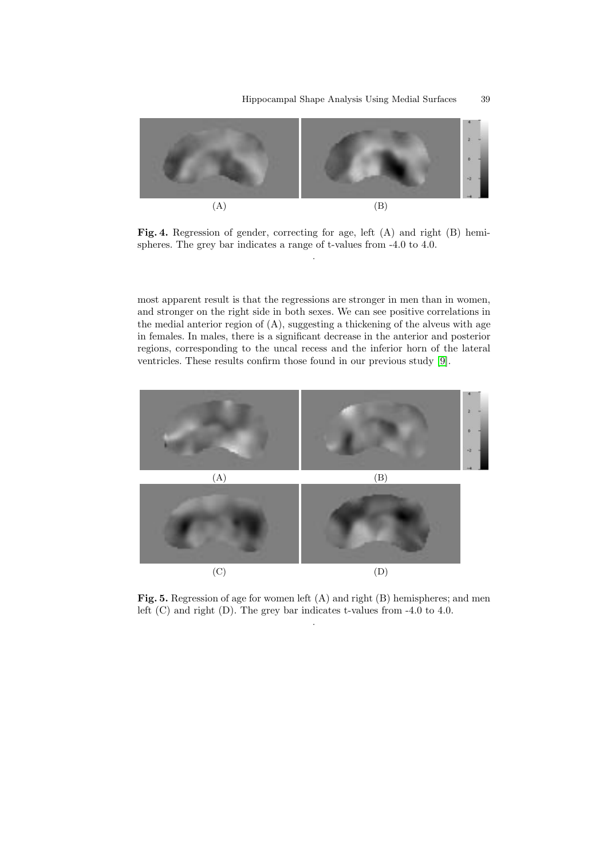

<span id="page-6-0"></span>**Fig. 4.** Regression of gender, correcting for age, left (A) and right (B) hemispheres. The grey bar indicates a range of t-values from -4.0 to 4.0. .

most apparent result is that the regressions are stronger in men than in women, and stronger on the right side in both sexes. We can see positive correlations in the medial anterior region of (A), suggesting a thickening of the alveus with age in females. In males, there is a significant decrease in the anterior and posterior regions, corresponding to the uncal recess and the inferior horn of the lateral ventricles. These results confirm those found in our previous study [\[9\]](#page-7-7).



<span id="page-6-1"></span>**Fig. 5.** Regression of age for women left (A) and right (B) hemispheres; and men left (C) and right (D). The grey bar indicates t-values from -4.0 to 4.0. .